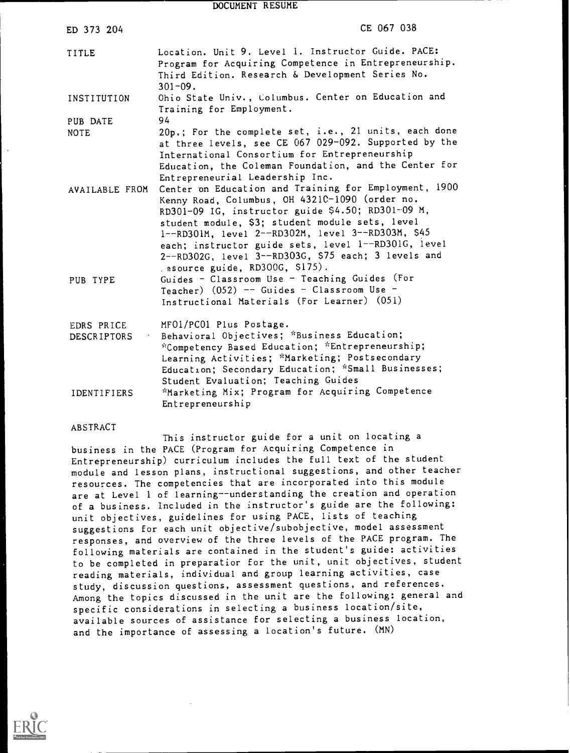DOCUMENT RESUME

| ED 373 204                       | CE 067 038                                                                                                                                                                                                                                                                                                                                                                                                             |
|----------------------------------|------------------------------------------------------------------------------------------------------------------------------------------------------------------------------------------------------------------------------------------------------------------------------------------------------------------------------------------------------------------------------------------------------------------------|
| TITLE                            | Location. Unit 9. Level 1. Instructor Guide. PACE:<br>Program for Acquiring Competence in Entrepreneurship.<br>Third Edition. Research & Development Series No.<br>$301 - 09.$                                                                                                                                                                                                                                         |
| INSTITUTION                      | Ohio State Univ., Columbus. Center on Education and<br>Training for Employment.                                                                                                                                                                                                                                                                                                                                        |
| PUB DATE                         | 94                                                                                                                                                                                                                                                                                                                                                                                                                     |
| <b>NOTE</b>                      | 20p.; For the complete set, i.e., 21 units, each done<br>at three levels, see CE 067 029-092. Supported by the<br>International Consortium for Entrepreneurship<br>Education, the Coleman Foundation, and the Center for<br>Entrepreneurial Leadership Inc.                                                                                                                                                            |
| AVAILABLE FROM                   | Center on Education and Training for Employment, 1900<br>Kenny Road, Columbus, OH 4321C-1090 (order no.<br>RD301-09 IG, instructor guide \$4.50; RD301-09 M,<br>student module, \$3; student module sets, level<br>1--RD301M, level 2--RD302M, level 3--RD303M, \$45<br>each; instructor guide sets, level 1--RD301G, level<br>2--RD302G, level 3--RD303G, \$75 each; 3 levels and<br>. esource guide, RD300G, \$175). |
| PUB TYPE                         | Guides - Classroom Use - Teaching Guides (For<br>Teacher) $(052)$ -- Guides - Classroom Use -<br>Instructional Materials (For Learner) (051)                                                                                                                                                                                                                                                                           |
| EDRS PRICE<br><b>DESCRIPTORS</b> | MF01/PC01 Plus Postage.<br>Behavioral Objectives; *Business Education;<br>*Competency Based Education; *Entrepreneurship;<br>Learning Activities; *Marketing; Postsecondary<br>Education; Secondary Education; *Small Businesses;<br>Student Evaluation; Teaching Guides                                                                                                                                               |
| <b>IDENTIFIERS</b>               | *Marketing Mix; Program for Acquiring Competence<br>Entrepreneurship                                                                                                                                                                                                                                                                                                                                                   |

#### ABSTRACT

This instructor guide for a unit on locating a business in the PACE (Program for Acquiring Competence in Entrepreneurship) curriculum includes the full text of the student module and lesson plans, instructional suggestions, and other teacher resources. The competencies that are incorporated into this module are at Level 1 of learning--understanding the creation and operation of a business. Included in the instructor's guide are the following: unit objectives, guidelines for using PACE, lists of teaching suggestions for each unit objective/subobjective, model assessment responses, and overview of the three levels of the PACE program. The following materials are contained in the student's guide: activities to be completed in preparatior for the unit, unit objectives, student reading materials, individual and group learning activities, case study, discussion questions, assessment questions, and references. Among the topics discussed in the unit are the following: general and specific considerations in selecting a business location/site, available sources of assistance for selecting a business location, and the importance of assessing a location's future. (MN)

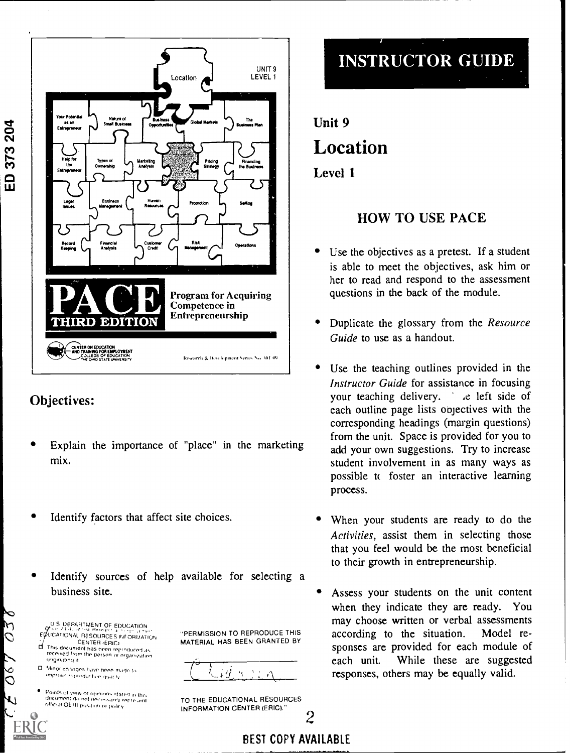

## Objectives:

- Explain the importance of "place" in the marketing mix.
- Identify factors that affect site choices.
- Identify sources of help available for selecting a business site.

U S DEPARTMENT OF EDUCATION EQUICATIONAL RESOURCES INFORMATION

 $\mathcal{L}O$ 

 $\frac{8}{2}$ 

٦١

- CENTER 1ERIC, CI This document has been tortodurrol .Fs received from the person or organization.<br>Originating it
- O Minor changes have heen made to improve inproduction quality

Points of view or opinions stated in this<br>document do not necussarily recre ient<br>official OERI position or policy

"PERMISSION TO REPRODUCE THIS MATERIAL HAS BEEN GRANTED BY



TO THE EDUCATIONAL RESOURCES INFORMATION CENTER (ERIC)"



Unit 9 Location Level 1

### HOW TO USE PACE

- Use the objectives as a pretest. If a student is able to meet the objectives, ask him or her to read and respond to the assessment questions in the back of the module.
- Duplicate the glossary from the Resource Guide to use as a handout.
- Use the teaching outlines provided in the Instructor Guide for assistance in focusing your teaching delivery. . . . . . left side of each outline page lists objectives with the corresponding headings (margin questions) from the unit. Space is provided for you to add your own suggestions. Try to increase student involvement in as many ways as possible tt foster an interactive learning process.
- When your students are ready to do the Activities, assist them in selecting those that you feel would be the most beneficial to their growth in entrepreneurship.
- Assess your students on the unit content when they indicate they are ready. You may choose written or verbal assessments according to the situation. Model responses are provided for each module of each unit. While these are suggested responses, others may be equally valid.

2

BEST COPY AVAILABLE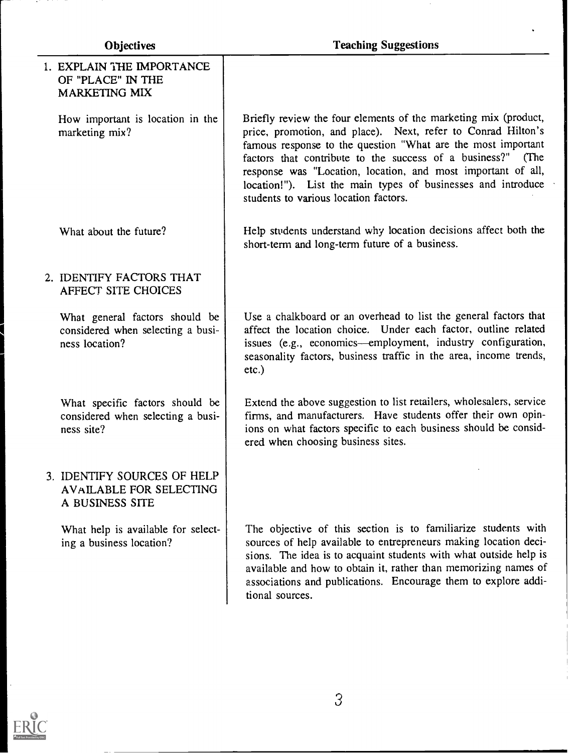| <b>Objectives</b> |                                                                                       | <b>Teaching Suggestions</b>                                                                                                                                                                                                                                                                                                                                                                                                             |  |
|-------------------|---------------------------------------------------------------------------------------|-----------------------------------------------------------------------------------------------------------------------------------------------------------------------------------------------------------------------------------------------------------------------------------------------------------------------------------------------------------------------------------------------------------------------------------------|--|
|                   | 1. EXPLAIN THE IMPORTANCE<br>OF "PLACE" IN THE<br><b>MARKETING MIX</b>                |                                                                                                                                                                                                                                                                                                                                                                                                                                         |  |
|                   | How important is location in the<br>marketing mix?                                    | Briefly review the four elements of the marketing mix (product,<br>price, promotion, and place). Next, refer to Conrad Hilton's<br>famous response to the question "What are the most important<br>factors that contribute to the success of a business?" (The<br>response was "Location, location, and most important of all,<br>location!"). List the main types of businesses and introduce<br>students to various location factors. |  |
|                   | What about the future?                                                                | Help students understand why location decisions affect both the<br>short-term and long-term future of a business.                                                                                                                                                                                                                                                                                                                       |  |
|                   | 2. IDENTIFY FACTORS THAT<br>AFFECT SITE CHOICES                                       |                                                                                                                                                                                                                                                                                                                                                                                                                                         |  |
|                   | What general factors should be<br>considered when selecting a busi-<br>ness location? | Use a chalkboard or an overhead to list the general factors that<br>affect the location choice. Under each factor, outline related<br>issues (e.g., economics—employment, industry configuration,<br>seasonality factors, business traffic in the area, income trends,<br>$etc.$ )                                                                                                                                                      |  |
|                   | What specific factors should be<br>considered when selecting a busi-<br>ness site?    | Extend the above suggestion to list retailers, wholesalers, service<br>firms, and manufacturers. Have students offer their own opin-<br>ions on what factors specific to each business should be consid-<br>ered when choosing business sites.                                                                                                                                                                                          |  |
|                   | 3. IDENTIFY SOURCES OF HELP<br><b>AVAILABLE FOR SELECTING</b><br>A BUSINESS SITE      |                                                                                                                                                                                                                                                                                                                                                                                                                                         |  |
|                   | What help is available for select-<br>ing a business location?                        | The objective of this section is to familiarize students with<br>sources of help available to entrepreneurs making location deci-<br>sions. The idea is to acquaint students with what outside help is<br>available and how to obtain it, rather than memorizing names of<br>associations and publications. Encourage them to explore addi-<br>tional sources.                                                                          |  |



 $\bullet$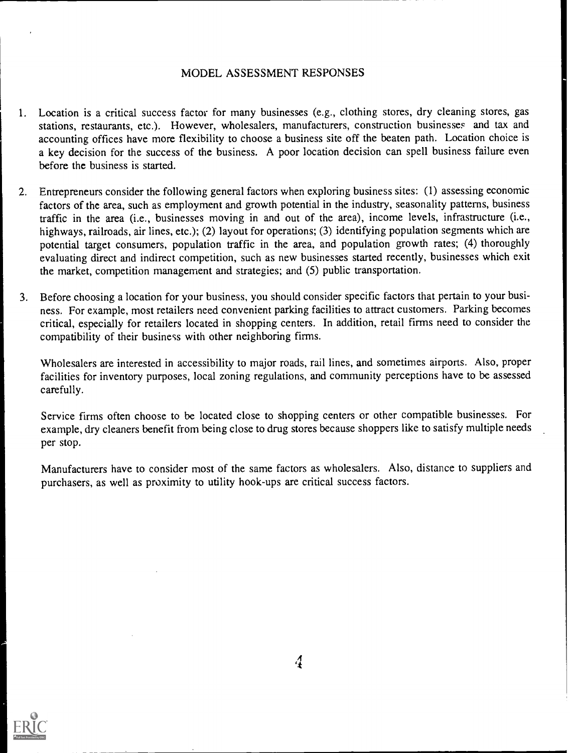#### MODEL ASSESSMENT RESPONSES

- 1. Location is a critical success factor for many businesses (e.g., clothing stores, dry cleaning stores, gas stations, restaurants, etc.). However, wholesalers, manufacturers, construction businesses and tax and accounting offices have more flexibility to choose a business site off the beaten path. Location choice is a key decision for the success of the business. A poor location decision can spell business failure even before the business is started.
- 2. Entrepreneurs consider the following general factors when exploring business sites: (1) assessing economic factors of the area, such as employment and growth potential in the industry, seasonality patterns, business traffic in the area (i.e., businesses moving in and out of the area), income levels, infrastructure (i.e., highways, railroads, air lines, etc.); (2) layout for operations; (3) identifying population segments which are potential target consumers, population traffic in the area, and population growth rates; (4) thoroughly evaluating direct and indirect competition, such as new businesses started recently, businesses which exit the market, competition management and strategies; and (5) public transportation.
- 3. Before choosing a location for your business, you should consider specific factors that pertain to your business. For example, most retailers need convenient parking facilities to attract customers. Parking becomes critical, especially for retailers located in shopping centers. In addition, retail firms need to consider the compatibility of their business with other neighboring firms.

Wholesalers are interested in accessibility to major roads, rail lines, and sometimes airports. Also, proper facilities for inventory purposes, local zoning regulations, and community perceptions have to be assessed carefully.

Service firms often choose to be located close to shopping centers or other compatible businesses. For example, dry cleaners benefit from being close to drug stores because shoppers like to satisfy multiple needs per stop.

Manufacturers have to consider most of the same factors as wholesalers. Also, distance to suppliers and purchasers, as well as proximity to utility hook-ups are critical success factors.

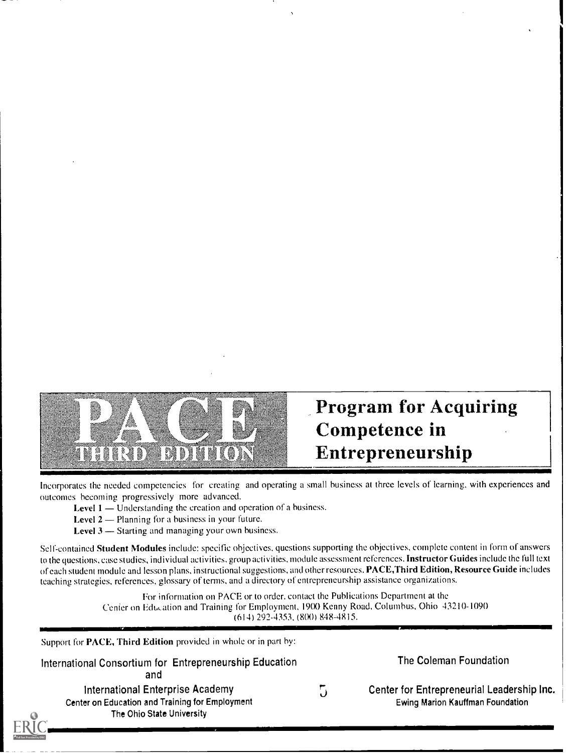

# Program for Acquiring Competence in Entrepreneurship

Incorporates the needed competencies for creating and operating a small business at three levels of learning, with experiences and outcomes becoming progressively more advanced.

Level  $1$  — Understanding the creation and operation of a business.

1111 Million March 1111 Million March 1111 Million March 1111 Million March 1111 Million March 1111 Million Ma

- Level  $2$  Planning for a business in your future.
- Level  $3$  Starting and managing your own business.

Self-contained Student Modules include: specific objectives, questions supporting the objectives, complete content in form of answers to the questions, case studies, individual activities, group activities, module assessment references. Instructor Guides include the full text of each student module and lesson plans, instructional suggestions, and other resources. PACE, Third Edition, Resource Guide includes teaching strategies, references, glossary of terms, and a directory of entrepreneurship assistance organizations.

> For information on PACE or to order, contact the Publications Department at the Center on Education and Training for Employment, 1900 Kenny Road, Columbus, Ohio 43210-1090 (614) 292-4353, (8(X)) 848-4815.

Support for PACE, Third Edition provided in whole or in part by:

International Consortium for Entrepreneurship Education and

International Enterprise Academy Center on Education and Training for Employment The Ohio State University

5

The Coleman Foundation

Center for Entrepreneurial Leadership Inc. Ewing Marion Kauffman Foundation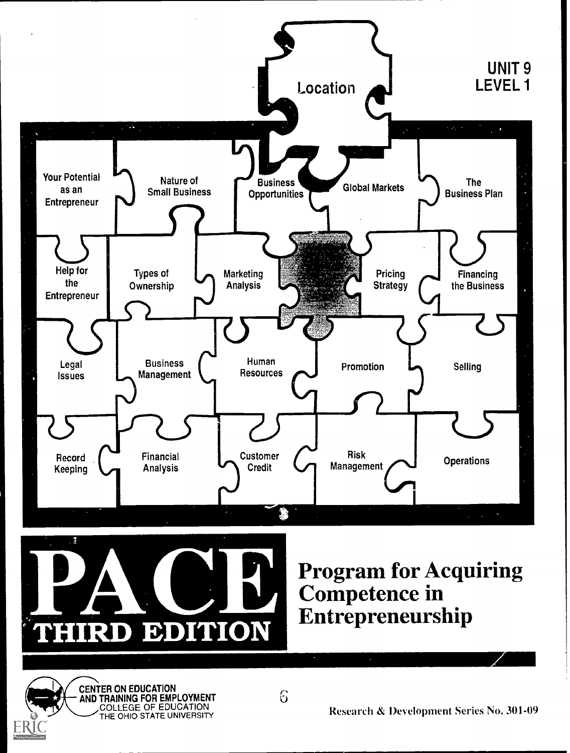

CENTER ON EDUCATION AND TRAINING FOR EMPLOYMENT COLLEGE OF EDUCATION THE OHIO STATE UNIVERSITY

Research & Development Series No. 301-09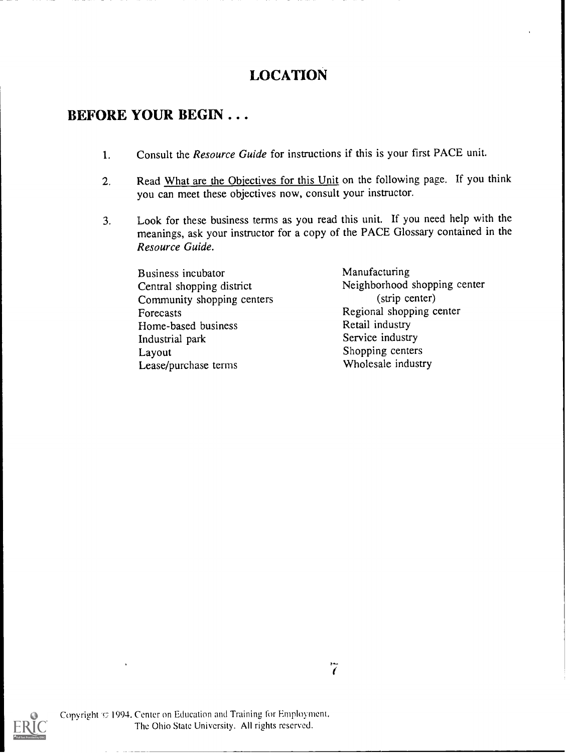## LOCATION

### BEFORE YOUR BEGIN . . .

- 1. Consult the *Resource Guide* for instructions if this is your first PACE unit.
- 2. Read What are the Objectives for this Unit on the following page. If you think you can meet these objectives now, consult your instructor.
- 3. Look for these business terms as you read this unit. If you need help with the meanings, ask your instructor for a copy of the PACE Glossary contained in the Resource Guide.

Business incubator Central shopping district Community shopping centers Forecasts Home-based business Industrial park Layout Lease/purchase terms

Manufacturing Neighborhood shopping center (strip center) Regional shopping center Retail industry Service industry Shopping centers Wholesale industry

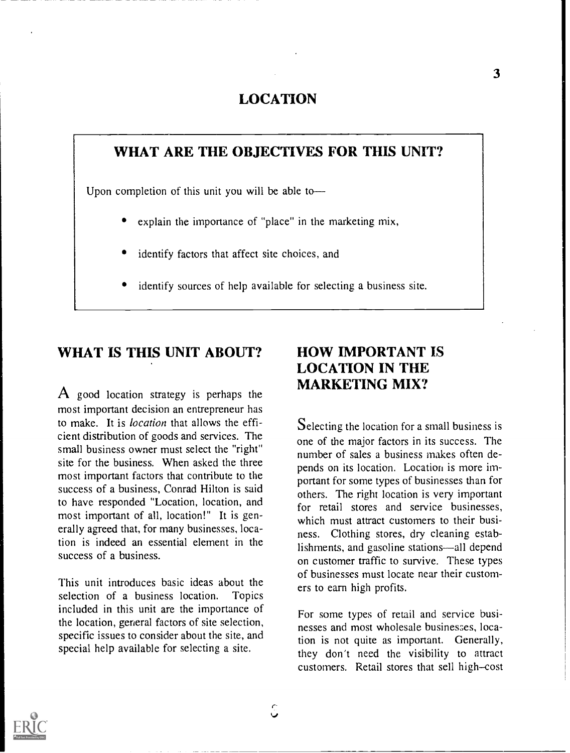### LOCATION

### WHAT ARE THE OBJECTIVES FOR THIS UNIT?

Upon completion of this unit you will be able to

- explain the importance of "place" in the marketing mix,
- identify factors that affect site choices, and
- identify sources of help available for selecting a business site.

#### WHAT IS THIS UNIT ABOUT?

 $\bf{A}$  good location strategy is perhaps the most important decision an entrepreneur has to make. It is location that allows the efficient distribution of goods and services. The small business owner must select the "right" site for the business. When asked the three most important factors that contribute to the success of a business, Conrad Hilton is said to have responded "Location, location, and most important of all, location!" It is generally agreed that, for many businesses, location is indeed an essential element in the success of a business.

This unit introduces basic ideas about the selection of a business location. Topics included in this unit are the importance of the location, general factors of site selection, specific issues to consider about the site, and special help available for selecting a site.

### HOW IMPORTANT IS LOCATION IN THE MARKETING MIX?

Selecting the location for a small business is one of the major factors in its success. The number of sales a business makes often depends on its location. Location is more important for some types of businesses than for others. The right location is very important for retail stores and service businesses, which must attract customers to their business. Clothing stores, dry cleaning establishments, and gasoline stations—all depend on customer traffic to survive. These types of businesses must locate near their customers to earn high profits.

For some types of retail and service businesses and most wholesale businesses, location is not quite as important. Generally, they don't need the visibility to attract customers. Retail stores that sell high-cost

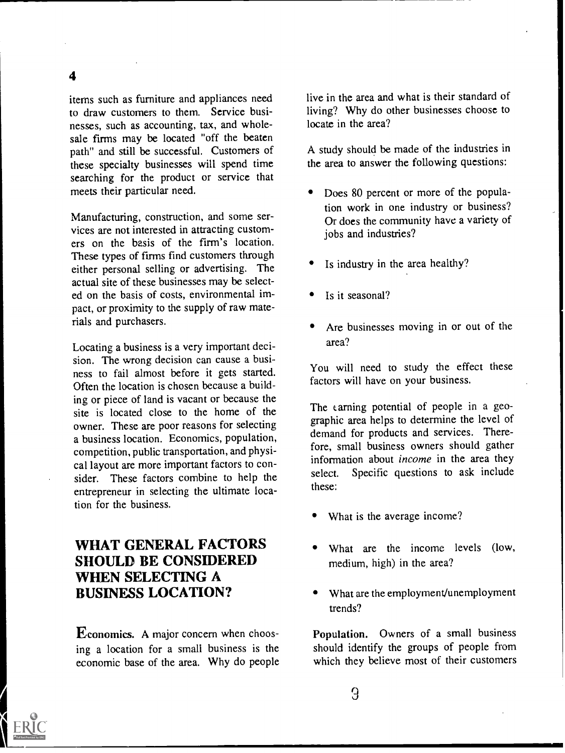items such as furniture and appliances need to draw customers to them. Service businesses, such as accounting, tax, and wholesale firms may be located "off the beaten path" and still be successful. Customers of these specialty businesses will spend time searching for the product or service that meets their particular need.

Manufacturing, construction, and some services are not interested in attracting customers on the basis of the firm's location. These types of firms find customers through either personal selling or advertising. The actual site of these businesses may be selected on the basis of costs, environmental impact, or proximity to the supply of raw materials and purchasers.

Locating a business is a very important decision. The wrong decision can cause a business to fail almost before it gets started. Often the location is chosen because a building or piece of land is vacant or because the site is located close to the home of the owner. These are poor reasons for selecting a business location. Economics, population, competition, public transportation, and physical layout are more important factors to consider. These factors combine to help the select. entrepreneur in selecting the ultimate location for the business.

### WHAT GENERAL FACTORS SHOULD BE CONSIDERED WHEN SELECTING A BUSINESS LOCATION?

Economics. A major concern when choosing a location for a small business is the economic base of the area. Why do people live in the area and what is their standard of living? Why do other businesses choose to locate in the area?

A study should be made of the industries in the area to answer the following questions:

- Does 80 percent or more of the population work in one industry or business? Or does the community have a variety of jobs and industries?
- Is industry in the area healthy?
- Is it seasonal?
- Are businesses moving in or out of the area?

You will need to study the effect these factors will have on your business.

The carning potential of people in a geographic area helps to determine the level of demand for products and services. Therefore, small business owners should gather information about *income* in the area they Specific questions to ask include these:

- What is the average income?
- What are the income levels (low, medium, high) in the area?
- What are the employment/unemployment trends?

Population. Owners of a small business should identify the groups of people from which they believe most of their customers

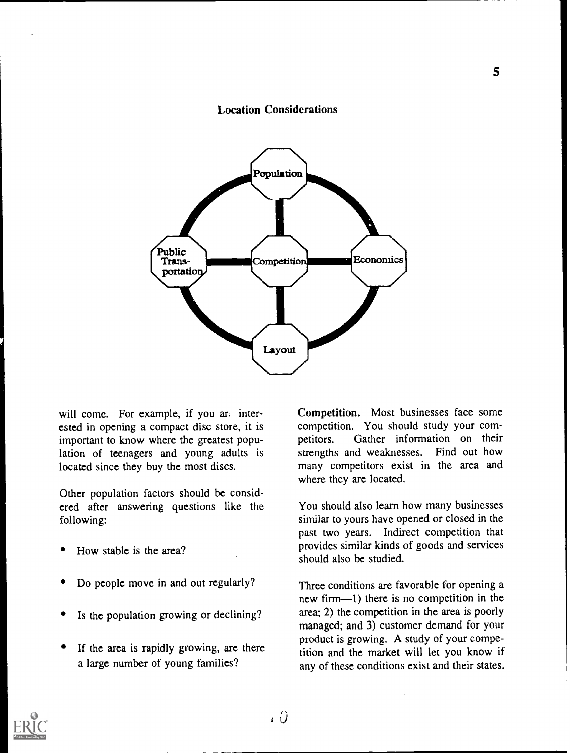#### Location Considerations



will come. For example, if you and interested in opening a compact disc store, it is competition competitions. important to know where the greatest population of teenagers and young adults is located since they buy the most discs.

Other population factors should be considered after answering questions like the following:

- How stable is the area?
- Do people move in and out regularly?
- Is the population growing or declining?
- If the area is rapidly growing, arc there a large number of young families?

Competition. Most businesses face some competition. You should study your com-Gather information on their strengths and weaknesses. Find out how many competitors exist in the area and where they are located.

You should also learn how many businesses similar to yours have opened or closed in the past two years. Indirect competition that provides similar kinds of goods and services should also be studied.

Three conditions are favorable for opening a new firm-1) there is no competition in the area; 2) the competition in the area is poorly managed; and 3) customer demand for your product is growing. A study of your competition and the market will let you know if any of these conditions exist and their states.

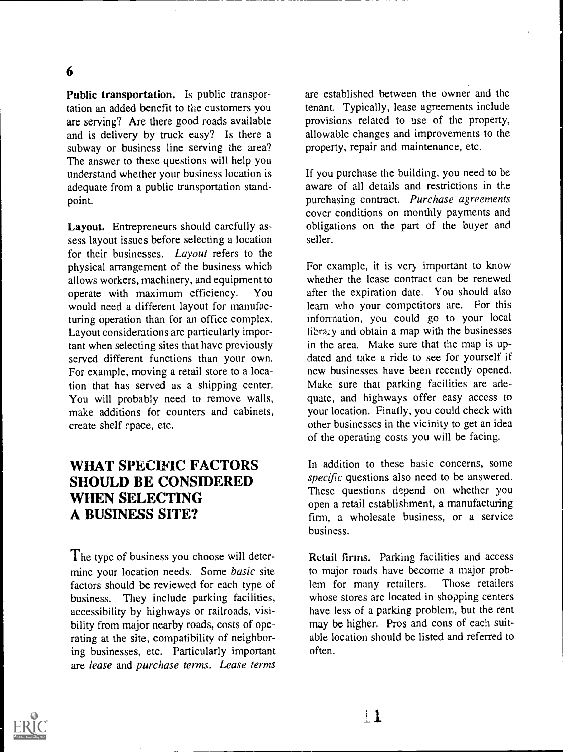Public transportation. Is public transportation an added benefit to the customers you are serving? Are there good roads available and is delivery by truck easy? Is there a subway or business line serving the area? The answer to these questions will help you understand whether your business location is adequate from a public transportation standpoint.

Layout. Entrepreneurs should carefully assess layout issues before selecting a location for their businesses. Layout refers to the physical arrangement of the business which allows workers, machinery, and equipment to operate with maximum efficiency. You would need a different layout for manufacturing operation than for an office complex. Layout considerations are particularly important when selecting sites that have previously served different functions than your own. For example, moving a retail store to a location that has served as a shipping center. You will probably need to remove walls, make additions for counters and cabinets, create shelf rpace, etc.

### WHAT SPECIFIC FACTORS SHOULD BE CONSIDERED WHEN SELECTING A BUSINESS SITE?

The type of business you choose will determine your location needs. Some basic site factors should be reviewed for each type of business. They include parking facilities, accessibility by highways or railroads, visibility from major nearby roads, costs of operating at the site, compatibility of neighboring businesses, etc. Particularly important are lease and purchase terms. Lease terms are established between the owner and the tenant. Typically, lease agreements include provisions related to use of the property, allowable changes and improvements to the property, repair and maintenance, etc.

If you purchase the building, you need to be aware of all details and restrictions in the purchasing contract. Purchase agreements cover conditions on monthly payments and obligations on the part of the buyer and seller.

For example, it is very important to know whether the lease contract can be renewed after the expiration date. You should also learn who your competitors are. For this information, you could go to your local library and obtain a map with the businesses in the area. Make sure that the map is updated and take a ride to see for yourself if new businesses have been recently opened. Make sure that parking facilities are adequate, and highways offer easy access to your location. Finally, you could check with other businesses in the vicinity to get an idea of the operating costs you will be facing.

In addition to these basic concerns, some specific questions also need to be answered. These questions depend on whether you open a retail establishment, a manufacturing firm, a wholesale business, or a service business.

Retail firms. Parking facilities and access to major roads have become a major prob-<br>lem for many retailers. Those retailers lem for many retailers. whose stores are located in shopping centers have less of a parking problem, but the rent may be higher. Pros and cons of each suitable location should be listed and referred to often.

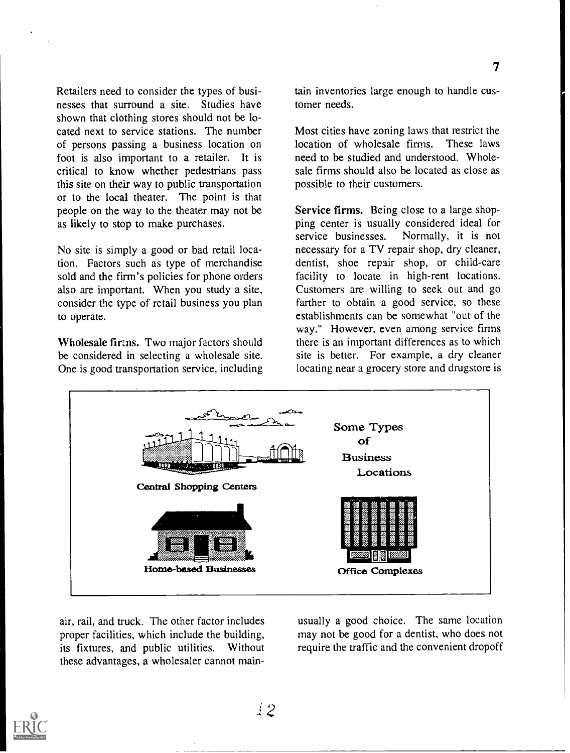Retailers need to consider the types of businesses that surround a site. Studies have shown that clothing stores should not be located next to service stations. The number of persons passing a business location on foot is also important to a retailer. It is critical to know whether pedestrians pass this site on their way to public transportation or to the local theater. The point is that people on the way to the theater may not be as likely to stop to make purchases.

No site is simply a good or bad retail location. Factors such as type of merchandise sold and the firm's policies for phone orders also are important. When you study a site, consider the type of retail business you plan to operate.

Wholesale firms. Two major factors should be considered in selecting a wholesale site. One is good transportation service, including tain inventories large enough to handle customer needs.

Most cities have zoning laws that restrict the location of wholesale firms. These laws need to be studied and understood. Wholesale firms should also be located as close as possible to their customers.

Service firms. Being close to a large shopping center is usually considered ideal for<br>service businesses. Normally, it is not Normally, it is not necessary for a TV repair shop, dry cleaner, dentist, shoe repair shop, or child-care facility to locate in high-rent locations. Customers are willing to seek out and go farther to obtain a good service, so these establishments can be somewhat "out of the way." However, even among service firms there is an important differences as to which site is better. For example, a dry cleaner locating near a grocery store and drugstore is



air, rail, and truck. The other factor includes proper facilities, which include the building, its fixtures, and public utilities. Without these advantages, a wholesaler cannot mainusually a good choice. The same location may not be good for a dentist, who does not require the traffic and the convenient dropoff

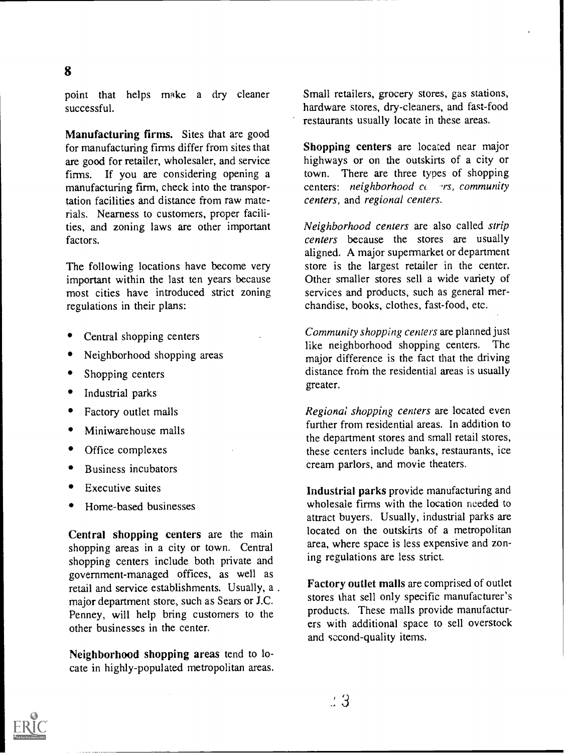point that helps make a dry cleaner successful.

Manufacturing firms. Sites that are good for manufacturing firms differ from sites that are good for retailer, wholesaler, and service firms. If you are considering opening a manufacturing firm, check into the transportation facilities and distance from raw materials. Nearness to customers, proper facilities, and zoning laws are other important factors.

The following locations have become very important within the last ten years because most cities have introduced strict zoning regulations in their plans:

- Central shopping centers
- Neighborhood shopping areas
- Shopping centers
- Industrial parks
- Factory outlet malls
- Miniwarehouse malls
- Office complexes
- Business incubators
- Executive suites
- Home-based businesses

Central shopping centers are the main shopping areas in a city or town. Central shopping centers include both private and government-managed offices, as well as retail and service establishments. Usually, a . major department store, such as Sears or J.C. Penney, will help bring customers to the other businesses in the center.

Neighborhood shopping areas tend to locate in highly-populated metropolitan areas. Small retailers, grocery stores, gas stations, hardware stores, dry-cleaners, and fast-food restaurants usually locate in these areas.

Shopping centers are located near major highways or on the outskirts of a city or town. There are three types of shopping centers: neighborhood  $cc$  -rs, community centers, and regional centers.

Neighborhood centers are also called strip centers because the stores are usually aligned. A major supermarket or department store is the largest retailer in the center. Other smaller stores sell a wide variety of services and products, such as general merchandise, books, clothes, fast-food, etc.

Community shopping centers are planned just like neighborhood shopping centers. The major difference is the fact that the driving distance from the residential areas is usually greater.

Regional shopping centers are located even further from residential areas. In addition to the department stores and small retail stores, these centers include banks, restaurants, ice cream parlors, and movie theaters.

Industrial parks provide manufacturing and wholesale firms with the location needed to attract buyers. Usually, industrial parks are located on the outskirts of a metropolitan area, where space is less expensive and zoning regulations are less strict.

Factory outlet malls are comprised of outlet stores that sell only specific manufacturer's products. These malls provide manufacturers with additional space to sell overstock and second-quality items.

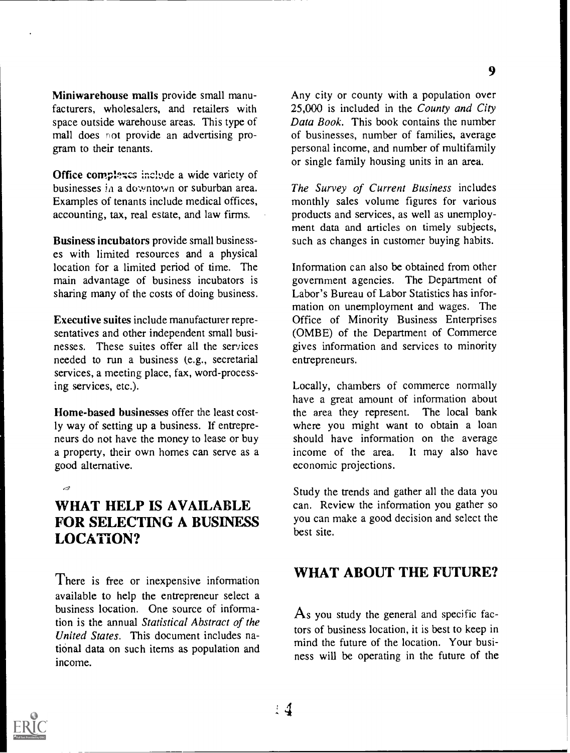Miniwarehouse malls provide small manufacturers, wholesalers, and retailers with space outside warehouse areas. This type of mall does not provide an advertising program to their tenants.

Office complexes include a wide variety of businesses in a downtown or suburban area. Examples of tenants include medical offices, accounting, tax, real estate, and law firms.

Business incubators provide small businesses with limited resources and a physical location for a limited period of time. The main advantage of business incubators is sharing many of the costs of doing business.

Executive suites include manufacturer representatives and other independent small businesses. These suites offer all the services needed to run a business (e.g., secretarial services, a meeting place, fax, word-processing services, etc.).

Home-based businesses offer the least costly way of setting up a business. If entrepreneurs do not have the money to lease or buy a property, their own homes can serve as a good alternative.

#### $\mathcal{A}$

### WHAT HELP IS AVAILABLE FOR SELECTING A BUSINESS LOCATION?

There is free or inexpensive information available to help the entrepreneur select a business location. One source of information is the annual Statistical Abstract of the United States. This document includes national data on such items as population and income.

Any city or county with a population over 25,000 is included in the County and City Data Book. This book contains the number of businesses, number of families, average personal income, and number of multifamily or single family housing units in an area.

The Survey of Current Business includes monthly sales volume figures for various products and services, as well as unemployment data and articles on timely subjects, such as changes in customer buying habits.

Information can also be obtained from other government agencies. The Department of Labor's Bureau of Labor Statistics has information on unemployment and wages. The Office of Minority Business Enterprises (OMBE) of the Department of Commerce gives information and services to minority entrepreneurs.

Locally, chambers of commerce normally have a great amount of information about the area they represent. The local bank where you might want to obtain a loan should have information on the average income of the area. It may also have economic projections.

Study the trends and gather all the data you can. Review the information you gather so you can make a good decision and select the best site.

### WHAT ABOUT THE FUTURE?

 $\overline{A}$ s you study the general and specific factors of business location, it is best to keep in mind the future of the location. Your business will be operating in the future of the

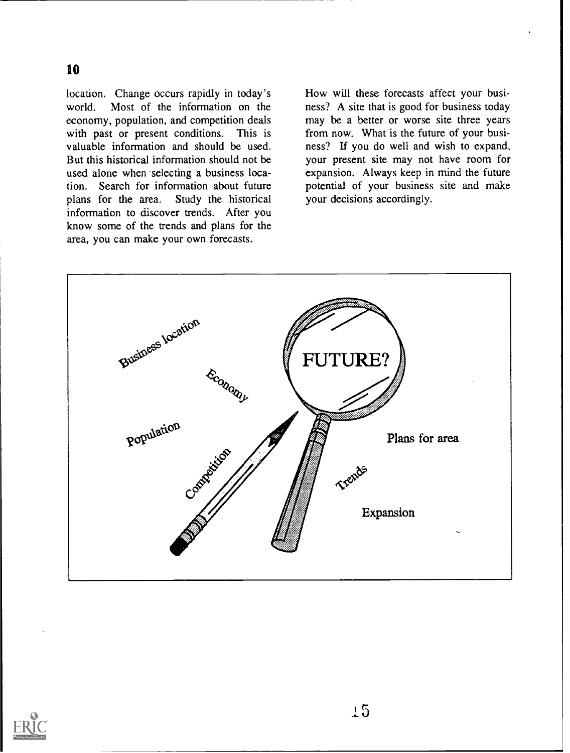location. Change occurs rapidly in today's world. Most of the information on the economy, population, and competition deals with past or present conditions. This is valuable information and should be used. But this historical information should not be used alone when selecting a business location. Search for information about future<br>plans for the area. Study the historical Study the historical information to discover trends. After you know some of the trends and plans for the area, you can make your own forecasts.

How will these forecasts affect your business? A site that is good for business today may be a better or worse site three years from now. What is the future of your business? If you do well and wish to expand, your present site may not have room for expansion. Always keep in mind the future potential of your business site and make your decisions accordingly.



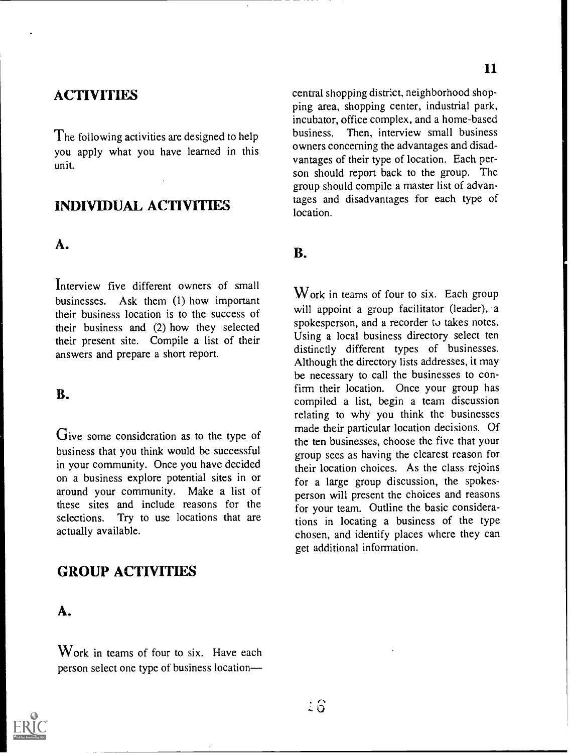### **ACTIVITIES**

The following activities are designed to help you apply what you have learned in this unit.

## INDIVIDUAL ACTIVITIES

#### A.

Interview five different owners of small businesses. Ask them (1) how important their business location is to the success of their business and (2) how they selected their present site. Compile a list of their answers and prepare a short report.

#### B.

Give some consideration as to the type of business that you think would be successful in your community. Once you have decided on a business explore potential sites in or around your community. Make a list of these sites and include reasons for the selections. Try to use locations that are actually available.

### GROUP ACTIVITIES

### A.

Work in teams of four to six. Have each person select one type of business location



central shopping district, neighborhood shopping area, shopping center, industrial park, incubator, office complex, and a home-based business. Then, interview small business owners concerning the advantages and disadvantages of their type of location. Each person should report back to the group. The group should compile a master list of advantages and disadvantages for each type of location.

#### B.

Work in teams of four to six. Each group will appoint a group facilitator (leader), a spokesperson, and a recorder to takes notes. Using a local business directory select ten distinctly different types of businesses. Although the directory lists addresses, it may be necessary to call the businesses to confirm their location. Once your group has compiled a list, begin a team discussion relating to why you think the businesses made their particular location decisions. Of the ten businesses, choose the five that your group sees as having the clearest reason for their location choices. As the class rejoins for a large group discussion, the spokesperson will present the choices and reasons for your team. Outline the basic considerations in locating a business of the type chosen, and identify places where they can get additional information.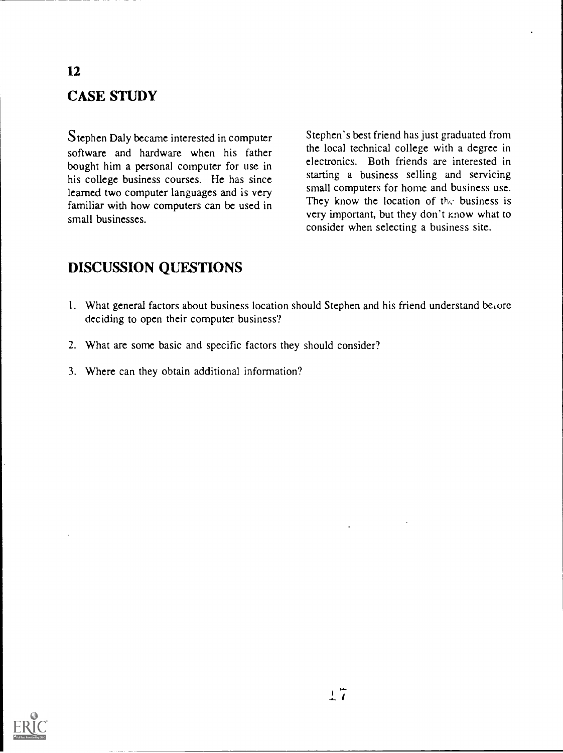# CASE STUDY

Stephen Daly became interested in computer software and hardware when his father bought him a personal computer for use in his college business courses. He has since learned two computer languages and is very familiar with how computers can be used in small businesses.

Stephen's best friend has just graduated from the local technical college with a degree in electronics. Both friends are interested in starting a business selling and servicing small computers for home and business use. They know the location of the business is very important, but they don't know what to consider when selecting a business site.

### DISCUSSION QUESTIONS

- 1. What general factors about business location should Stephen and his friend understand be $\iota$ ore deciding to open their computer business?
- 2. What are some basic and specific factors they should consider?
- 3. Where can they obtain additional information?



#### 12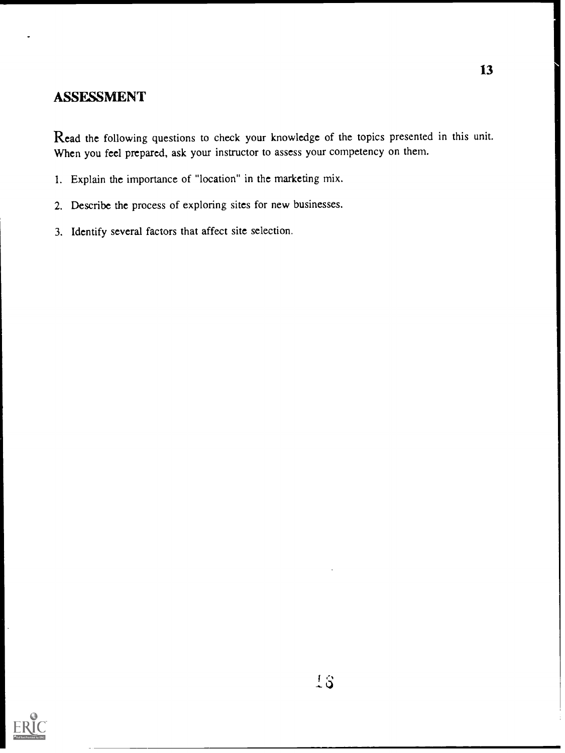### ASSESSMENT

Read the following questions to check your knowledge of the topics presented in this unit. When you feel prepared, ask your instructor to assess your competency on them.

- 1. Explain the importance of "location" in the marketing mix.
- 2. Describe the process of exploring sites for new businesses.
- 3. Identify several factors that affect site selection.

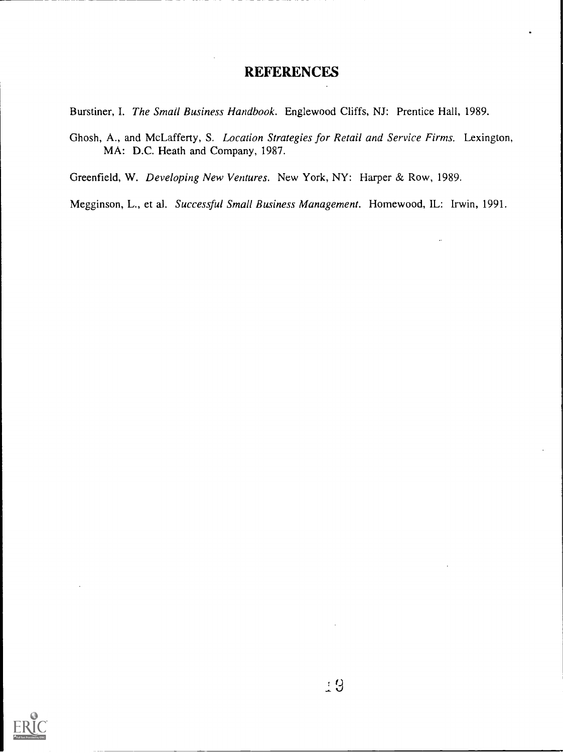### **REFERENCES**

Burstiner, I. The Small Business Handbook. Englewood Cliffs, NJ: Prentice Hall, 1989.

Ghosh, A., and McLafferty, S. Location Strategies for Retail and Service Firms. Lexington, MA: D.C. Heath and Company, 1987.

Greenfield, W. Developing New Ventures. New York, NY: Harper & Row, 1989.

Megginson, L., et al. Successful Small Business Management. Homewood, IL: Irwin, 1991.